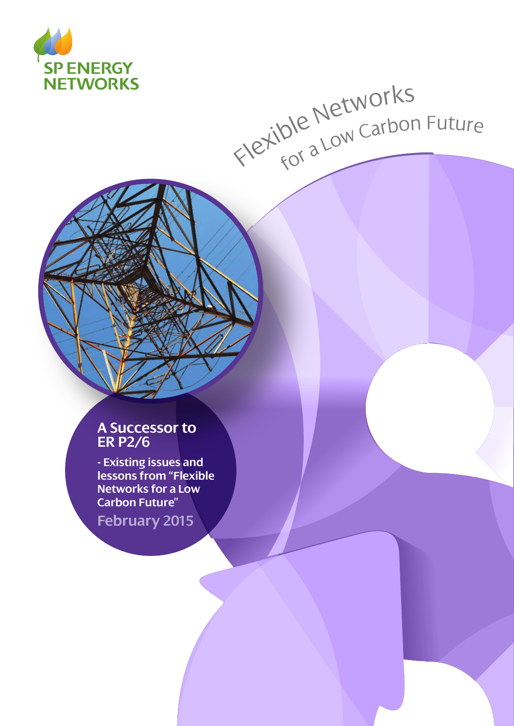

# Flexible Networks<br>Flexible Networks

# **A Successor to ER P2/6**

**- Existing issues and lessons from "Flexible Networks for a Low Carbon Future"**

**February 2015**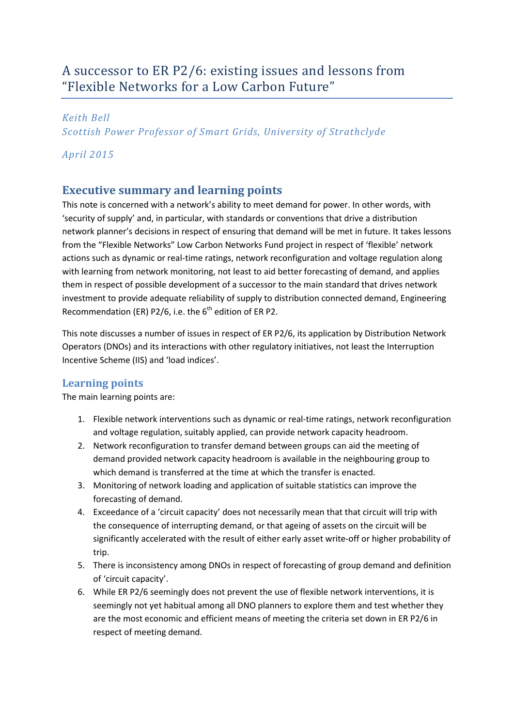# A successor to ER P2/6: existing issues and lessons from "Flexible Networks for a Low Carbon Future"

#### *Keith Bell*

*Scottish Power Professor of Smart Grids, University of Strathclyde*

#### *April 2015*

## <span id="page-1-0"></span>**Executive summary and learning points**

This note is concerned with a network's ability to meet demand for power. In other words, with 'security of supply' and, in particular, with standards or conventions that drive a distribution network planner's decisions in respect of ensuring that demand will be met in future. It takes lessons from the "Flexible Networks" Low Carbon Networks Fund project in respect of 'flexible' network actions such as dynamic or real-time ratings, network reconfiguration and voltage regulation along with learning from network monitoring, not least to aid better forecasting of demand, and applies them in respect of possible development of a successor to the main standard that drives network investment to provide adequate reliability of supply to distribution connected demand, Engineering Recommendation (ER) P2/6, i.e. the  $6<sup>th</sup>$  edition of ER P2.

This note discusses a number of issues in respect of ER P2/6, its application by Distribution Network Operators (DNOs) and its interactions with other regulatory initiatives, not least the Interruption Incentive Scheme (IIS) and 'load indices'.

### <span id="page-1-1"></span>**Learning points**

The main learning points are:

- 1. Flexible network interventions such as dynamic or real-time ratings, network reconfiguration and voltage regulation, suitably applied, can provide network capacity headroom.
- 2. Network reconfiguration to transfer demand between groups can aid the meeting of demand provided network capacity headroom is available in the neighbouring group to which demand is transferred at the time at which the transfer is enacted.
- 3. Monitoring of network loading and application of suitable statistics can improve the forecasting of demand.
- 4. Exceedance of a 'circuit capacity' does not necessarily mean that that circuit will trip with the consequence of interrupting demand, or that ageing of assets on the circuit will be significantly accelerated with the result of either early asset write-off or higher probability of trip.
- 5. There is inconsistency among DNOs in respect of forecasting of group demand and definition of 'circuit capacity'.
- 6. While ER P2/6 seemingly does not prevent the use of flexible network interventions, it is seemingly not yet habitual among all DNO planners to explore them and test whether they are the most economic and efficient means of meeting the criteria set down in ER P2/6 in respect of meeting demand.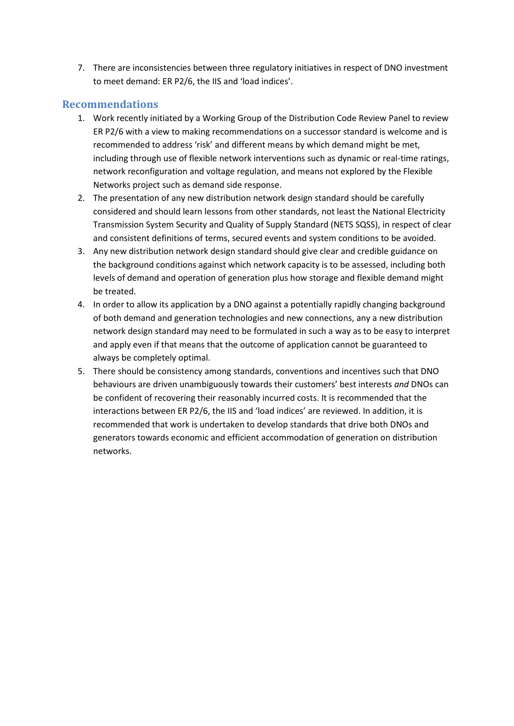7. There are inconsistencies between three regulatory initiatives in respect of DNO investment to meet demand: ER P2/6, the IIS and 'load indices'.

#### <span id="page-2-0"></span>**Recommendations**

- 1. Work recently initiated by a Working Group of the Distribution Code Review Panel to review ER P2/6 with a view to making recommendations on a successor standard is welcome and is recommended to address 'risk' and different means by which demand might be met, including through use of flexible network interventions such as dynamic or real-time ratings, network reconfiguration and voltage regulation, and means not explored by the Flexible Networks project such as demand side response.
- 2. The presentation of any new distribution network design standard should be carefully considered and should learn lessons from other standards, not least the National Electricity Transmission System Security and Quality of Supply Standard (NETS SQSS), in respect of clear and consistent definitions of terms, secured events and system conditions to be avoided.
- 3. Any new distribution network design standard should give clear and credible guidance on the background conditions against which network capacity is to be assessed, including both levels of demand and operation of generation plus how storage and flexible demand might be treated.
- 4. In order to allow its application by a DNO against a potentially rapidly changing background of both demand and generation technologies and new connections, any a new distribution network design standard may need to be formulated in such a way as to be easy to interpret and apply even if that means that the outcome of application cannot be guaranteed to always be completely optimal.
- 5. There should be consistency among standards, conventions and incentives such that DNO behaviours are driven unambiguously towards their customers' best interests *and* DNOs can be confident of recovering their reasonably incurred costs. It is recommended that the interactions between ER P2/6, the IIS and 'load indices' are reviewed. In addition, it is recommended that work is undertaken to develop standards that drive both DNOs and generators towards economic and efficient accommodation of generation on distribution networks.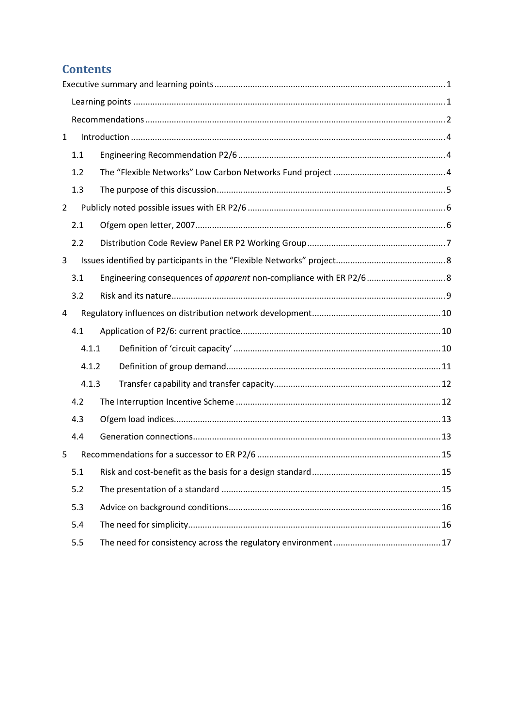# **Contents**

| $\mathbf{1}$   |       |  |  |
|----------------|-------|--|--|
|                | 1.1   |  |  |
|                | 1.2   |  |  |
|                | 1.3   |  |  |
| $\overline{2}$ |       |  |  |
|                | 2.1   |  |  |
|                | 2.2   |  |  |
| 3              |       |  |  |
|                | 3.1   |  |  |
|                | 3.2   |  |  |
| 4              |       |  |  |
|                | 4.1   |  |  |
|                | 4.1.1 |  |  |
|                | 4.1.2 |  |  |
|                | 4.1.3 |  |  |
|                | 4.2   |  |  |
|                | 4.3   |  |  |
|                | 4.4   |  |  |
| 5              |       |  |  |
|                | 5.1   |  |  |
|                | 5.2   |  |  |
|                | 5.3   |  |  |
|                | 5.4   |  |  |
|                | 5.5   |  |  |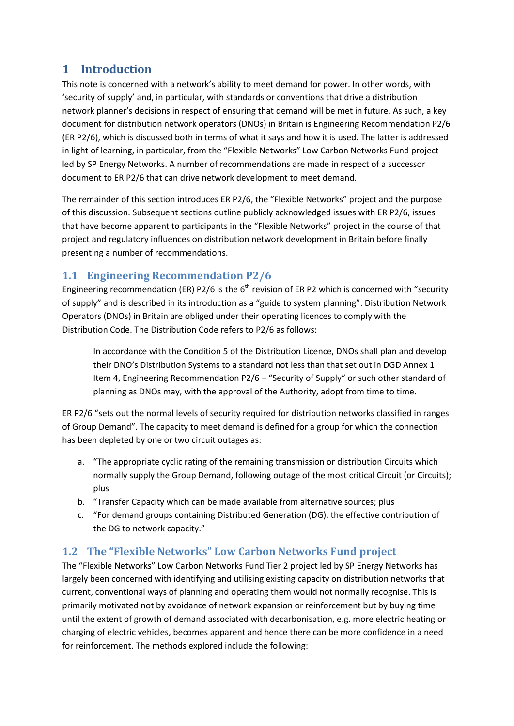# <span id="page-4-0"></span>**1 Introduction**

This note is concerned with a network's ability to meet demand for power. In other words, with 'security of supply' and, in particular, with standards or conventions that drive a distribution network planner's decisions in respect of ensuring that demand will be met in future. As such, a key document for distribution network operators (DNOs) in Britain is Engineering Recommendation P2/6 (ER P2/6), which is discussed both in terms of what it says and how it is used. The latter is addressed in light of learning, in particular, from the "Flexible Networks" Low Carbon Networks Fund project led by SP Energy Networks. A number of recommendations are made in respect of a successor document to ER P2/6 that can drive network development to meet demand.

The remainder of this section introduces ER P2/6, the "Flexible Networks" project and the purpose of this discussion. Subsequent sections outline publicly acknowledged issues with ER P2/6, issues that have become apparent to participants in the "Flexible Networks" project in the course of that project and regulatory influences on distribution network development in Britain before finally presenting a number of recommendations.

## <span id="page-4-1"></span>**1.1 Engineering Recommendation P2/6**

Engineering recommendation (ER) P2/6 is the  $6<sup>th</sup>$  revision of ER P2 which is concerned with "security of supply" and is described in its introduction as a "guide to system planning". Distribution Network Operators (DNOs) in Britain are obliged under their operating licences to comply with the Distribution Code. The Distribution Code refers to P2/6 as follows:

In accordance with the Condition 5 of the Distribution Licence, DNOs shall plan and develop their DNO's Distribution Systems to a standard not less than that set out in DGD Annex 1 Item 4, Engineering Recommendation P2/6 – "Security of Supply" or such other standard of planning as DNOs may, with the approval of the Authority, adopt from time to time.

ER P2/6 "sets out the normal levels of security required for distribution networks classified in ranges of Group Demand". The capacity to meet demand is defined for a group for which the connection has been depleted by one or two circuit outages as:

- a. "The appropriate cyclic rating of the remaining transmission or distribution Circuits which normally supply the Group Demand, following outage of the most critical Circuit (or Circuits); plus
- b. "Transfer Capacity which can be made available from alternative sources; plus
- c. "For demand groups containing Distributed Generation (DG), the effective contribution of the DG to network capacity."

## <span id="page-4-2"></span>**1.2 The "Flexible Networks" Low Carbon Networks Fund project**

The "Flexible Networks" Low Carbon Networks Fund Tier 2 project led by SP Energy Networks has largely been concerned with identifying and utilising existing capacity on distribution networks that current, conventional ways of planning and operating them would not normally recognise. This is primarily motivated not by avoidance of network expansion or reinforcement but by buying time until the extent of growth of demand associated with decarbonisation, e.g. more electric heating or charging of electric vehicles, becomes apparent and hence there can be more confidence in a need for reinforcement. The methods explored include the following: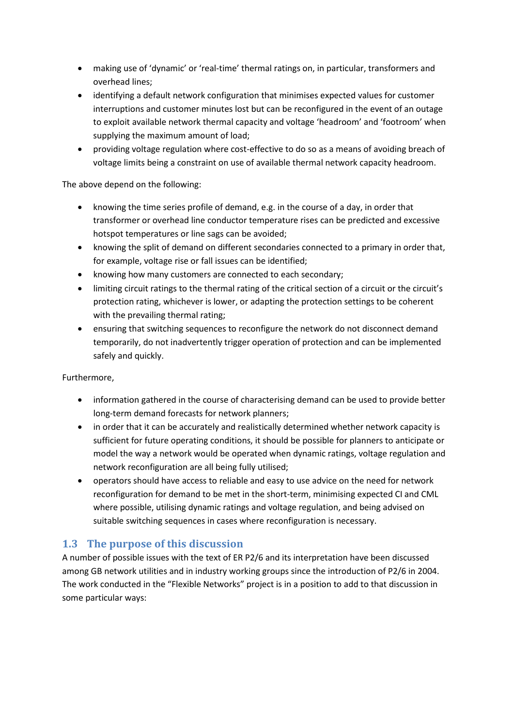- making use of 'dynamic' or 'real-time' thermal ratings on, in particular, transformers and overhead lines;
- identifying a default network configuration that minimises expected values for customer interruptions and customer minutes lost but can be reconfigured in the event of an outage to exploit available network thermal capacity and voltage 'headroom' and 'footroom' when supplying the maximum amount of load;
- providing voltage regulation where cost-effective to do so as a means of avoiding breach of voltage limits being a constraint on use of available thermal network capacity headroom.

The above depend on the following:

- knowing the time series profile of demand, e.g. in the course of a day, in order that transformer or overhead line conductor temperature rises can be predicted and excessive hotspot temperatures or line sags can be avoided;
- knowing the split of demand on different secondaries connected to a primary in order that, for example, voltage rise or fall issues can be identified;
- knowing how many customers are connected to each secondary;
- limiting circuit ratings to the thermal rating of the critical section of a circuit or the circuit's protection rating, whichever is lower, or adapting the protection settings to be coherent with the prevailing thermal rating;
- ensuring that switching sequences to reconfigure the network do not disconnect demand temporarily, do not inadvertently trigger operation of protection and can be implemented safely and quickly.

Furthermore,

- information gathered in the course of characterising demand can be used to provide better long-term demand forecasts for network planners;
- in order that it can be accurately and realistically determined whether network capacity is sufficient for future operating conditions, it should be possible for planners to anticipate or model the way a network would be operated when dynamic ratings, voltage regulation and network reconfiguration are all being fully utilised;
- operators should have access to reliable and easy to use advice on the need for network reconfiguration for demand to be met in the short-term, minimising expected CI and CML where possible, utilising dynamic ratings and voltage regulation, and being advised on suitable switching sequences in cases where reconfiguration is necessary.

## <span id="page-5-0"></span>**1.3 The purpose of this discussion**

A number of possible issues with the text of ER P2/6 and its interpretation have been discussed among GB network utilities and in industry working groups since the introduction of P2/6 in 2004. The work conducted in the "Flexible Networks" project is in a position to add to that discussion in some particular ways: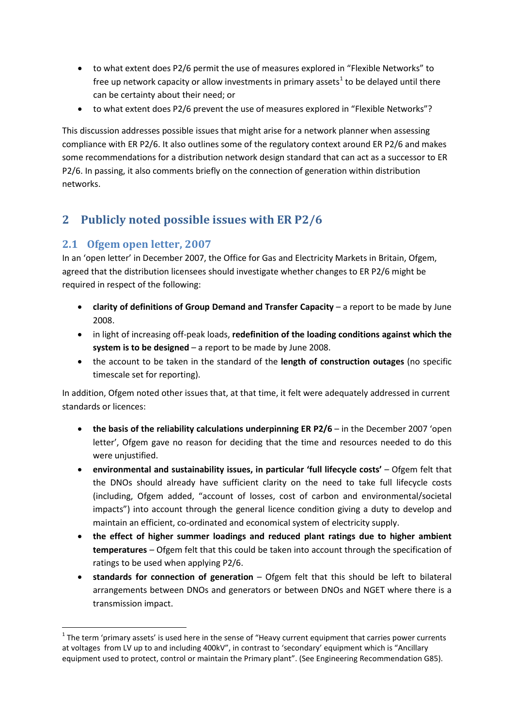- to what extent does P2/6 permit the use of measures explored in "Flexible Networks" to free up network capacity or allow investments in primary assets<sup>[1](#page-6-2)</sup> to be delayed until there can be certainty about their need; or
- to what extent does P2/6 prevent the use of measures explored in "Flexible Networks"?

This discussion addresses possible issues that might arise for a network planner when assessing compliance with ER P2/6. It also outlines some of the regulatory context around ER P2/6 and makes some recommendations for a distribution network design standard that can act as a successor to ER P2/6. In passing, it also comments briefly on the connection of generation within distribution networks.

# <span id="page-6-0"></span>**2 Publicly noted possible issues with ER P2/6**

## <span id="page-6-1"></span>**2.1 Ofgem open letter, 2007**

 $\overline{a}$ 

In an 'open letter' in December 2007, the Office for Gas and Electricity Markets in Britain, Ofgem, agreed that the distribution licensees should investigate whether changes to ER P2/6 might be required in respect of the following:

- **clarity of definitions of Group Demand and Transfer Capacity** a report to be made by June 2008.
- in light of increasing off-peak loads, **redefinition of the loading conditions against which the system is to be designed** – a report to be made by June 2008.
- the account to be taken in the standard of the **length of construction outages** (no specific timescale set for reporting).

In addition, Ofgem noted other issues that, at that time, it felt were adequately addressed in current standards or licences:

- **the basis of the reliability calculations underpinning ER P2/6** in the December 2007 'open letter', Ofgem gave no reason for deciding that the time and resources needed to do this were unjustified.
- **environmental and sustainability issues, in particular 'full lifecycle costs'** Ofgem felt that the DNOs should already have sufficient clarity on the need to take full lifecycle costs (including, Ofgem added, "account of losses, cost of carbon and environmental/societal impacts") into account through the general licence condition giving a duty to develop and maintain an efficient, co-ordinated and economical system of electricity supply.
- **the effect of higher summer loadings and reduced plant ratings due to higher ambient temperatures** – Ofgem felt that this could be taken into account through the specification of ratings to be used when applying P2/6.
- **standards for connection of generation** Ofgem felt that this should be left to bilateral arrangements between DNOs and generators or between DNOs and NGET where there is a transmission impact.

<span id="page-6-2"></span> $1$  The term 'primary assets' is used here in the sense of "Heavy current equipment that carries power currents at voltages from LV up to and including 400kV", in contrast to 'secondary' equipment which is "Ancillary equipment used to protect, control or maintain the Primary plant". (See Engineering Recommendation G85).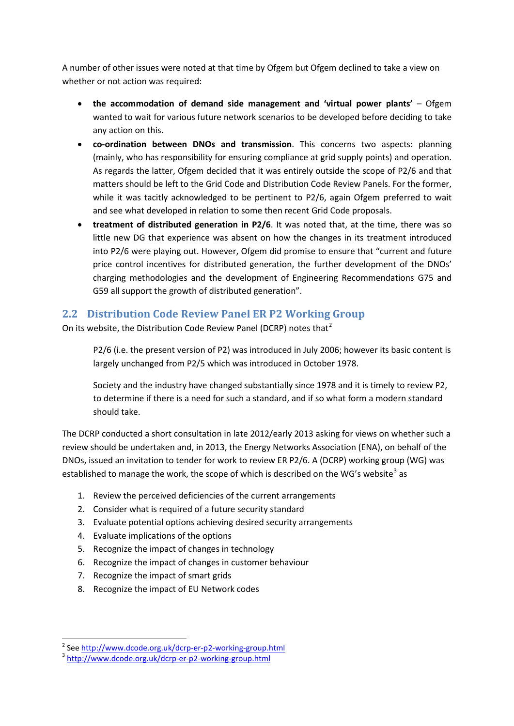A number of other issues were noted at that time by Ofgem but Ofgem declined to take a view on whether or not action was required:

- **the accommodation of demand side management and 'virtual power plants'** Ofgem wanted to wait for various future network scenarios to be developed before deciding to take any action on this.
- **co-ordination between DNOs and transmission**. This concerns two aspects: planning (mainly, who has responsibility for ensuring compliance at grid supply points) and operation. As regards the latter, Ofgem decided that it was entirely outside the scope of P2/6 and that matters should be left to the Grid Code and Distribution Code Review Panels. For the former, while it was tacitly acknowledged to be pertinent to P2/6, again Ofgem preferred to wait and see what developed in relation to some then recent Grid Code proposals.
- **treatment of distributed generation in P2/6**. It was noted that, at the time, there was so little new DG that experience was absent on how the changes in its treatment introduced into P2/6 were playing out. However, Ofgem did promise to ensure that "current and future price control incentives for distributed generation, the further development of the DNOs' charging methodologies and the development of Engineering Recommendations G75 and G59 all support the growth of distributed generation".

### <span id="page-7-0"></span>**2.2 Distribution Code Review Panel ER P2 Working Group**

On its website, the Distribution Code Review Panel (DCRP) notes that<sup>[2](#page-7-1)</sup>

P2/6 (i.e. the present version of P2) was introduced in July 2006; however its basic content is largely unchanged from P2/5 which was introduced in October 1978.

Society and the industry have changed substantially since 1978 and it is timely to review P2, to determine if there is a need for such a standard, and if so what form a modern standard should take.

The DCRP conducted a short consultation in late 2012/early 2013 asking for views on whether such a review should be undertaken and, in 2013, the Energy Networks Association (ENA), on behalf of the DNOs, issued an invitation to tender for work to review ER P2/6. A (DCRP) working group (WG) was established to manage the work, the scope of which is described on the WG's website<sup>[3](#page-7-2)</sup> as

- 1. Review the perceived deficiencies of the current arrangements
- 2. Consider what is required of a future security standard
- 3. Evaluate potential options achieving desired security arrangements
- 4. Evaluate implications of the options
- 5. Recognize the impact of changes in technology
- 6. Recognize the impact of changes in customer behaviour
- 7. Recognize the impact of smart grids
- 8. Recognize the impact of EU Network codes

<span id="page-7-1"></span><sup>&</sup>lt;sup>2</sup> See http://www.dcode.org.uk/dcrp-er-p2-working-group.html

<span id="page-7-2"></span><sup>&</sup>lt;sup>3</sup><http://www.dcode.org.uk/dcrp-er-p2-working-group.html>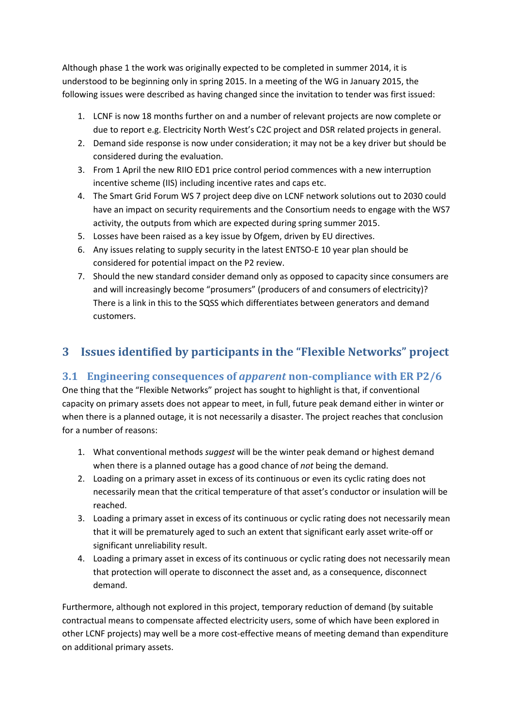Although phase 1 the work was originally expected to be completed in summer 2014, it is understood to be beginning only in spring 2015. In a meeting of the WG in January 2015, the following issues were described as having changed since the invitation to tender was first issued:

- 1. LCNF is now 18 months further on and a number of relevant projects are now complete or due to report e.g. Electricity North West's C2C project and DSR related projects in general.
- 2. Demand side response is now under consideration; it may not be a key driver but should be considered during the evaluation.
- 3. From 1 April the new RIIO ED1 price control period commences with a new interruption incentive scheme (IIS) including incentive rates and caps etc.
- 4. The Smart Grid Forum WS 7 project deep dive on LCNF network solutions out to 2030 could have an impact on security requirements and the Consortium needs to engage with the WS7 activity, the outputs from which are expected during spring summer 2015.
- 5. Losses have been raised as a key issue by Ofgem, driven by EU directives.
- 6. Any issues relating to supply security in the latest ENTSO-E 10 year plan should be considered for potential impact on the P2 review.
- 7. Should the new standard consider demand only as opposed to capacity since consumers are and will increasingly become "prosumers" (producers of and consumers of electricity)? There is a link in this to the SQSS which differentiates between generators and demand customers.

# <span id="page-8-0"></span>**3 Issues identified by participants in the "Flexible Networks" project**

### <span id="page-8-1"></span>**3.1 Engineering consequences of** *apparent* **non-compliance with ER P2/6**

One thing that the "Flexible Networks" project has sought to highlight is that, if conventional capacity on primary assets does not appear to meet, in full, future peak demand either in winter or when there is a planned outage, it is not necessarily a disaster. The project reaches that conclusion for a number of reasons:

- 1. What conventional methods *suggest* will be the winter peak demand or highest demand when there is a planned outage has a good chance of *not* being the demand.
- 2. Loading on a primary asset in excess of its continuous or even its cyclic rating does not necessarily mean that the critical temperature of that asset's conductor or insulation will be reached.
- 3. Loading a primary asset in excess of its continuous or cyclic rating does not necessarily mean that it will be prematurely aged to such an extent that significant early asset write-off or significant unreliability result.
- 4. Loading a primary asset in excess of its continuous or cyclic rating does not necessarily mean that protection will operate to disconnect the asset and, as a consequence, disconnect demand.

Furthermore, although not explored in this project, temporary reduction of demand (by suitable contractual means to compensate affected electricity users, some of which have been explored in other LCNF projects) may well be a more cost-effective means of meeting demand than expenditure on additional primary assets.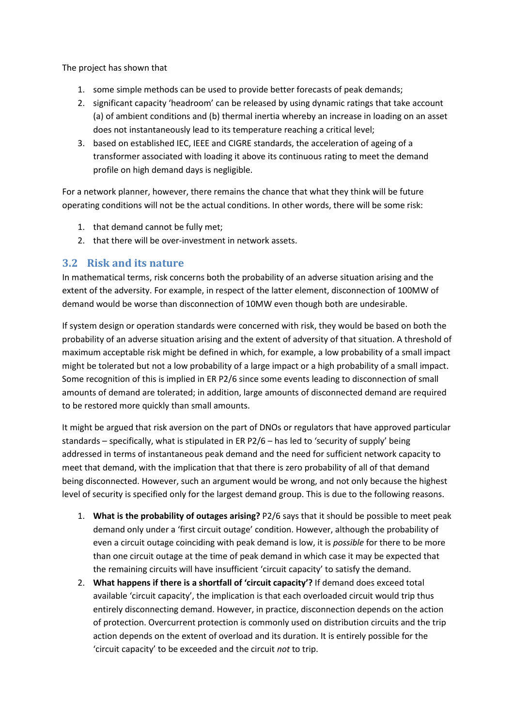The project has shown that

- 1. some simple methods can be used to provide better forecasts of peak demands;
- 2. significant capacity 'headroom' can be released by using dynamic ratings that take account (a) of ambient conditions and (b) thermal inertia whereby an increase in loading on an asset does not instantaneously lead to its temperature reaching a critical level;
- 3. based on established IEC, IEEE and CIGRE standards, the acceleration of ageing of a transformer associated with loading it above its continuous rating to meet the demand profile on high demand days is negligible.

For a network planner, however, there remains the chance that what they think will be future operating conditions will not be the actual conditions. In other words, there will be some risk:

- 1. that demand cannot be fully met;
- 2. that there will be over-investment in network assets.

#### <span id="page-9-0"></span>**3.2 Risk and its nature**

In mathematical terms, risk concerns both the probability of an adverse situation arising and the extent of the adversity. For example, in respect of the latter element, disconnection of 100MW of demand would be worse than disconnection of 10MW even though both are undesirable.

If system design or operation standards were concerned with risk, they would be based on both the probability of an adverse situation arising and the extent of adversity of that situation. A threshold of maximum acceptable risk might be defined in which, for example, a low probability of a small impact might be tolerated but not a low probability of a large impact or a high probability of a small impact. Some recognition of this is implied in ER P2/6 since some events leading to disconnection of small amounts of demand are tolerated; in addition, large amounts of disconnected demand are required to be restored more quickly than small amounts.

It might be argued that risk aversion on the part of DNOs or regulators that have approved particular standards – specifically, what is stipulated in ER P2/6 – has led to 'security of supply' being addressed in terms of instantaneous peak demand and the need for sufficient network capacity to meet that demand, with the implication that that there is zero probability of all of that demand being disconnected. However, such an argument would be wrong, and not only because the highest level of security is specified only for the largest demand group. This is due to the following reasons.

- 1. **What is the probability of outages arising?** P2/6 says that it should be possible to meet peak demand only under a 'first circuit outage' condition. However, although the probability of even a circuit outage coinciding with peak demand is low, it is *possible* for there to be more than one circuit outage at the time of peak demand in which case it may be expected that the remaining circuits will have insufficient 'circuit capacity' to satisfy the demand.
- 2. **What happens if there is a shortfall of 'circuit capacity'?** If demand does exceed total available 'circuit capacity', the implication is that each overloaded circuit would trip thus entirely disconnecting demand. However, in practice, disconnection depends on the action of protection. Overcurrent protection is commonly used on distribution circuits and the trip action depends on the extent of overload and its duration. It is entirely possible for the 'circuit capacity' to be exceeded and the circuit *not* to trip.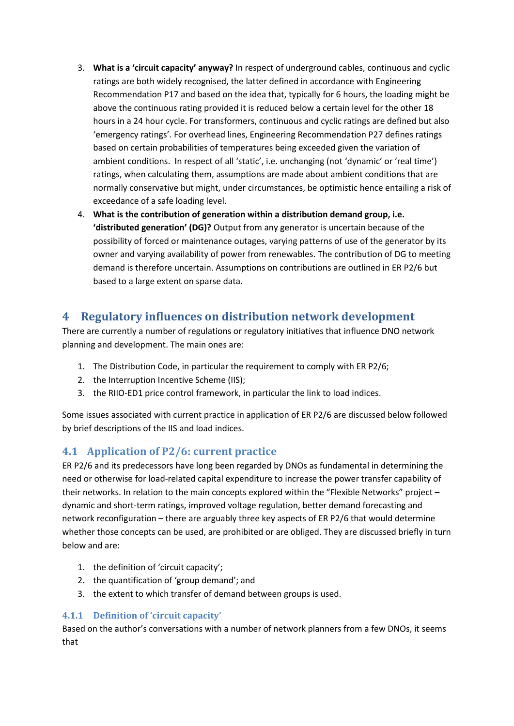- 3. **What is a 'circuit capacity' anyway?** In respect of underground cables, continuous and cyclic ratings are both widely recognised, the latter defined in accordance with Engineering Recommendation P17 and based on the idea that, typically for 6 hours, the loading might be above the continuous rating provided it is reduced below a certain level for the other 18 hours in a 24 hour cycle. For transformers, continuous and cyclic ratings are defined but also 'emergency ratings'. For overhead lines, Engineering Recommendation P27 defines ratings based on certain probabilities of temperatures being exceeded given the variation of ambient conditions. In respect of all 'static', i.e. unchanging (not 'dynamic' or 'real time') ratings, when calculating them, assumptions are made about ambient conditions that are normally conservative but might, under circumstances, be optimistic hence entailing a risk of exceedance of a safe loading level.
- 4. **What is the contribution of generation within a distribution demand group, i.e. 'distributed generation' (DG)?** Output from any generator is uncertain because of the possibility of forced or maintenance outages, varying patterns of use of the generator by its owner and varying availability of power from renewables. The contribution of DG to meeting demand is therefore uncertain. Assumptions on contributions are outlined in ER P2/6 but based to a large extent on sparse data.

## <span id="page-10-0"></span>**4 Regulatory influences on distribution network development**

There are currently a number of regulations or regulatory initiatives that influence DNO network planning and development. The main ones are:

- 1. The Distribution Code, in particular the requirement to comply with ER P2/6;
- 2. the Interruption Incentive Scheme (IIS);
- 3. the RIIO-ED1 price control framework, in particular the link to load indices.

Some issues associated with current practice in application of ER P2/6 are discussed below followed by brief descriptions of the IIS and load indices.

### <span id="page-10-1"></span>**4.1 Application of P2/6: current practice**

ER P2/6 and its predecessors have long been regarded by DNOs as fundamental in determining the need or otherwise for load-related capital expenditure to increase the power transfer capability of their networks. In relation to the main concepts explored within the "Flexible Networks" project – dynamic and short-term ratings, improved voltage regulation, better demand forecasting and network reconfiguration – there are arguably three key aspects of ER P2/6 that would determine whether those concepts can be used, are prohibited or are obliged. They are discussed briefly in turn below and are:

- 1. the definition of 'circuit capacity';
- 2. the quantification of 'group demand'; and
- 3. the extent to which transfer of demand between groups is used.

#### <span id="page-10-2"></span>**4.1.1 Definition of 'circuit capacity'**

Based on the author's conversations with a number of network planners from a few DNOs, it seems that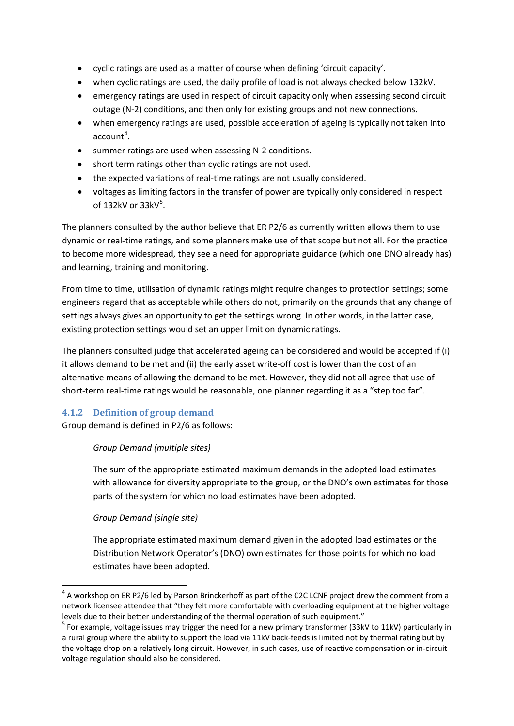- cyclic ratings are used as a matter of course when defining 'circuit capacity'.
- when cyclic ratings are used, the daily profile of load is not always checked below 132kV.
- emergency ratings are used in respect of circuit capacity only when assessing second circuit outage (N-2) conditions, and then only for existing groups and not new connections.
- when emergency ratings are used, possible acceleration of ageing is typically not taken into  $account<sup>4</sup>$  $account<sup>4</sup>$  $account<sup>4</sup>$ .
- summer ratings are used when assessing N-2 conditions.
- short term ratings other than cyclic ratings are not used.
- the expected variations of real-time ratings are not usually considered.
- voltages as limiting factors in the transfer of power are typically only considered in respect of 132 $kV$  or 33 $kV^5$  $kV^5$ .

The planners consulted by the author believe that ER P2/6 as currently written allows them to use dynamic or real-time ratings, and some planners make use of that scope but not all. For the practice to become more widespread, they see a need for appropriate guidance (which one DNO already has) and learning, training and monitoring.

From time to time, utilisation of dynamic ratings might require changes to protection settings; some engineers regard that as acceptable while others do not, primarily on the grounds that any change of settings always gives an opportunity to get the settings wrong. In other words, in the latter case, existing protection settings would set an upper limit on dynamic ratings.

The planners consulted judge that accelerated ageing can be considered and would be accepted if (i) it allows demand to be met and (ii) the early asset write-off cost is lower than the cost of an alternative means of allowing the demand to be met. However, they did not all agree that use of short-term real-time ratings would be reasonable, one planner regarding it as a "step too far".

#### <span id="page-11-0"></span>**4.1.2 Definition of group demand**

Group demand is defined in P2/6 as follows:

#### *Group Demand (multiple sites)*

The sum of the appropriate estimated maximum demands in the adopted load estimates with allowance for diversity appropriate to the group, or the DNO's own estimates for those parts of the system for which no load estimates have been adopted.

#### *Group Demand (single site)*

**.** 

The appropriate estimated maximum demand given in the adopted load estimates or the Distribution Network Operator's (DNO) own estimates for those points for which no load estimates have been adopted.

<span id="page-11-1"></span> $4$  A workshop on ER P2/6 led by Parson Brinckerhoff as part of the C2C LCNF project drew the comment from a network licensee attendee that "they felt more comfortable with overloading equipment at the higher voltage levels due to their better understanding of the thermal operation of such equipment."

<span id="page-11-2"></span><sup>&</sup>lt;sup>5</sup> For example, voltage issues may trigger the need for a new primary transformer (33kV to 11kV) particularly in a rural group where the ability to support the load via 11kV back-feeds is limited not by thermal rating but by the voltage drop on a relatively long circuit. However, in such cases, use of reactive compensation or in-circuit voltage regulation should also be considered.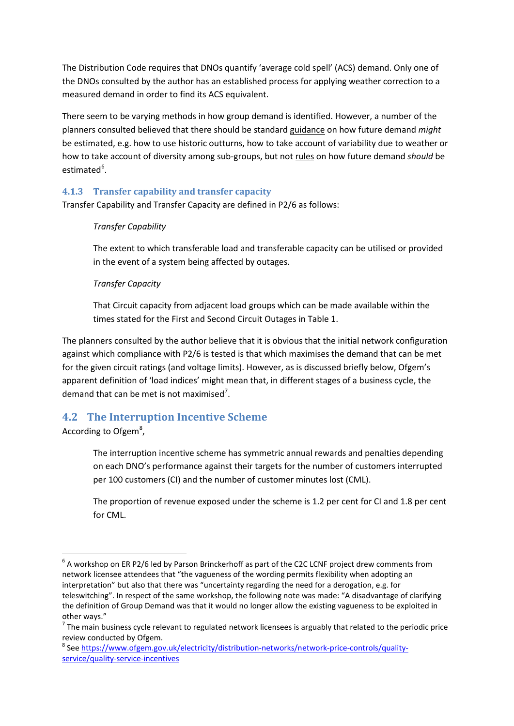The Distribution Code requires that DNOs quantify 'average cold spell' (ACS) demand. Only one of the DNOs consulted by the author has an established process for applying weather correction to a measured demand in order to find its ACS equivalent.

There seem to be varying methods in how group demand is identified. However, a number of the planners consulted believed that there should be standard guidance on how future demand *might* be estimated, e.g. how to use historic outturns, how to take account of variability due to weather or how to take account of diversity among sub-groups, but not rules on how future demand *should* be estimated<sup>[6](#page-12-2)</sup>.

#### <span id="page-12-0"></span>**4.1.3 Transfer capability and transfer capacity**

Transfer Capability and Transfer Capacity are defined in P2/6 as follows:

#### *Transfer Capability*

The extent to which transferable load and transferable capacity can be utilised or provided in the event of a system being affected by outages.

#### *Transfer Capacity*

That Circuit capacity from adjacent load groups which can be made available within the times stated for the First and Second Circuit Outages in Table 1.

The planners consulted by the author believe that it is obvious that the initial network configuration against which compliance with P2/6 is tested is that which maximises the demand that can be met for the given circuit ratings (and voltage limits). However, as is discussed briefly below, Ofgem's apparent definition of 'load indices' might mean that, in different stages of a business cycle, the demand that can be met is not maximised<sup>[7](#page-12-3)</sup>.

### <span id="page-12-1"></span>**4.2 The Interruption Incentive Scheme**

According to Ofgem<sup>[8](#page-12-4)</sup>,

 $\overline{a}$ 

The interruption incentive scheme has symmetric annual rewards and penalties depending on each DNO's performance against their targets for the number of customers interrupted per 100 customers (CI) and the number of customer minutes lost (CML).

The proportion of revenue exposed under the scheme is 1.2 per cent for CI and 1.8 per cent for CML.

<span id="page-12-2"></span> $6$  A workshop on ER P2/6 led by Parson Brinckerhoff as part of the C2C LCNF project drew comments from network licensee attendees that "the vagueness of the wording permits flexibility when adopting an interpretation" but also that there was "uncertainty regarding the need for a derogation, e.g. for teleswitching". In respect of the same workshop, the following note was made: "A disadvantage of clarifying the definition of Group Demand was that it would no longer allow the existing vagueness to be exploited in other ways."

<span id="page-12-3"></span> $<sup>7</sup>$  The main business cycle relevant to regulated network licensees is arguably that related to the periodic price</sup> review conducted by Ofgem.

<span id="page-12-4"></span><sup>8</sup> See [https://www.ofgem.gov.uk/electricity/distribution-networks/network-price-controls/quality](https://www.ofgem.gov.uk/electricity/distribution-networks/network-price-controls/quality-service/quality-service-incentives)[service/quality-service-incentives](https://www.ofgem.gov.uk/electricity/distribution-networks/network-price-controls/quality-service/quality-service-incentives)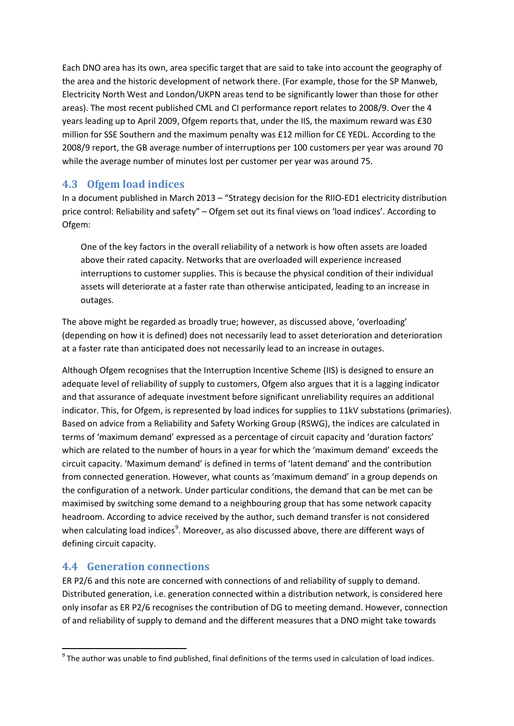Each DNO area has its own, area specific target that are said to take into account the geography of the area and the historic development of network there. (For example, those for the SP Manweb, Electricity North West and London/UKPN areas tend to be significantly lower than those for other areas). The most recent published CML and CI performance report relates to 2008/9. Over the 4 years leading up to April 2009, Ofgem reports that, under the IIS, the maximum reward was £30 million for SSE Southern and the maximum penalty was £12 million for CE YEDL. According to the 2008/9 report, the GB average number of interruptions per 100 customers per year was around 70 while the average number of minutes lost per customer per year was around 75.

#### <span id="page-13-0"></span>**4.3 Ofgem load indices**

In a document published in March 2013 – "Strategy decision for the RIIO-ED1 electricity distribution price control: Reliability and safety" – Ofgem set out its final views on 'load indices'. According to Ofgem:

One of the key factors in the overall reliability of a network is how often assets are loaded above their rated capacity. Networks that are overloaded will experience increased interruptions to customer supplies. This is because the physical condition of their individual assets will deteriorate at a faster rate than otherwise anticipated, leading to an increase in outages.

The above might be regarded as broadly true; however, as discussed above, 'overloading' (depending on how it is defined) does not necessarily lead to asset deterioration and deterioration at a faster rate than anticipated does not necessarily lead to an increase in outages.

Although Ofgem recognises that the Interruption Incentive Scheme (IIS) is designed to ensure an adequate level of reliability of supply to customers, Ofgem also argues that it is a lagging indicator and that assurance of adequate investment before significant unreliability requires an additional indicator. This, for Ofgem, is represented by load indices for supplies to 11kV substations (primaries). Based on advice from a Reliability and Safety Working Group (RSWG), the indices are calculated in terms of 'maximum demand' expressed as a percentage of circuit capacity and 'duration factors' which are related to the number of hours in a year for which the 'maximum demand' exceeds the circuit capacity. 'Maximum demand' is defined in terms of 'latent demand' and the contribution from connected generation. However, what counts as 'maximum demand' in a group depends on the configuration of a network. Under particular conditions, the demand that can be met can be maximised by switching some demand to a neighbouring group that has some network capacity headroom. According to advice received by the author, such demand transfer is not considered when calculating load indices<sup>[9](#page-13-2)</sup>. Moreover, as also discussed above, there are different ways of defining circuit capacity.

### <span id="page-13-1"></span>**4.4 Generation connections**

 $\overline{a}$ 

ER P2/6 and this note are concerned with connections of and reliability of supply to demand. Distributed generation, i.e. generation connected within a distribution network, is considered here only insofar as ER P2/6 recognises the contribution of DG to meeting demand. However, connection of and reliability of supply to demand and the different measures that a DNO might take towards

<span id="page-13-2"></span> $9$  The author was unable to find published, final definitions of the terms used in calculation of load indices.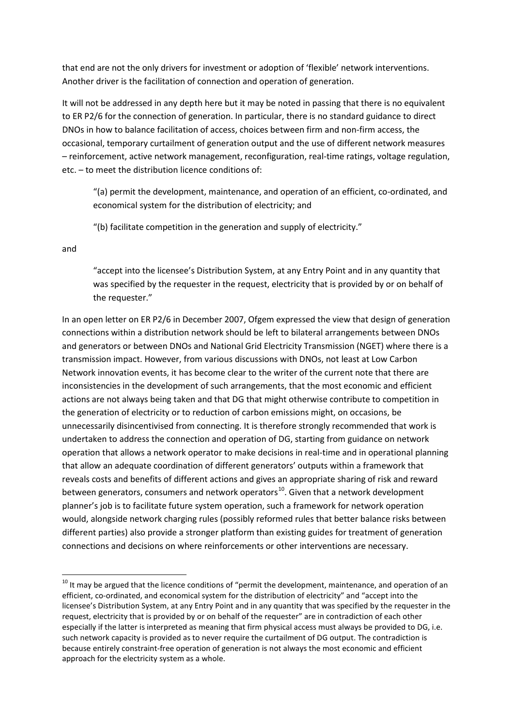that end are not the only drivers for investment or adoption of 'flexible' network interventions. Another driver is the facilitation of connection and operation of generation.

It will not be addressed in any depth here but it may be noted in passing that there is no equivalent to ER P2/6 for the connection of generation. In particular, there is no standard guidance to direct DNOs in how to balance facilitation of access, choices between firm and non-firm access, the occasional, temporary curtailment of generation output and the use of different network measures – reinforcement, active network management, reconfiguration, real-time ratings, voltage regulation, etc. – to meet the distribution licence conditions of:

"(a) permit the development, maintenance, and operation of an efficient, co-ordinated, and economical system for the distribution of electricity; and

"(b) facilitate competition in the generation and supply of electricity."

and

 $\overline{a}$ 

"accept into the licensee's Distribution System, at any Entry Point and in any quantity that was specified by the requester in the request, electricity that is provided by or on behalf of the requester."

In an open letter on ER P2/6 in December 2007, Ofgem expressed the view that design of generation connections within a distribution network should be left to bilateral arrangements between DNOs and generators or between DNOs and National Grid Electricity Transmission (NGET) where there is a transmission impact. However, from various discussions with DNOs, not least at Low Carbon Network innovation events, it has become clear to the writer of the current note that there are inconsistencies in the development of such arrangements, that the most economic and efficient actions are not always being taken and that DG that might otherwise contribute to competition in the generation of electricity or to reduction of carbon emissions might, on occasions, be unnecessarily disincentivised from connecting. It is therefore strongly recommended that work is undertaken to address the connection and operation of DG, starting from guidance on network operation that allows a network operator to make decisions in real-time and in operational planning that allow an adequate coordination of different generators' outputs within a framework that reveals costs and benefits of different actions and gives an appropriate sharing of risk and reward between generators, consumers and network operators<sup>10</sup>. Given that a network development planner's job is to facilitate future system operation, such a framework for network operation would, alongside network charging rules (possibly reformed rules that better balance risks between different parties) also provide a stronger platform than existing guides for treatment of generation connections and decisions on where reinforcements or other interventions are necessary.

<span id="page-14-0"></span><sup>&</sup>lt;sup>10</sup> It mav be argued that the licence conditions of "permit the development, maintenance, and operation of an efficient, co-ordinated, and economical system for the distribution of electricity" and "accept into the licensee's Distribution System, at any Entry Point and in any quantity that was specified by the requester in the request, electricity that is provided by or on behalf of the requester" are in contradiction of each other especially if the latter is interpreted as meaning that firm physical access must always be provided to DG, i.e. such network capacity is provided as to never require the curtailment of DG output. The contradiction is because entirely constraint-free operation of generation is not always the most economic and efficient approach for the electricity system as a whole.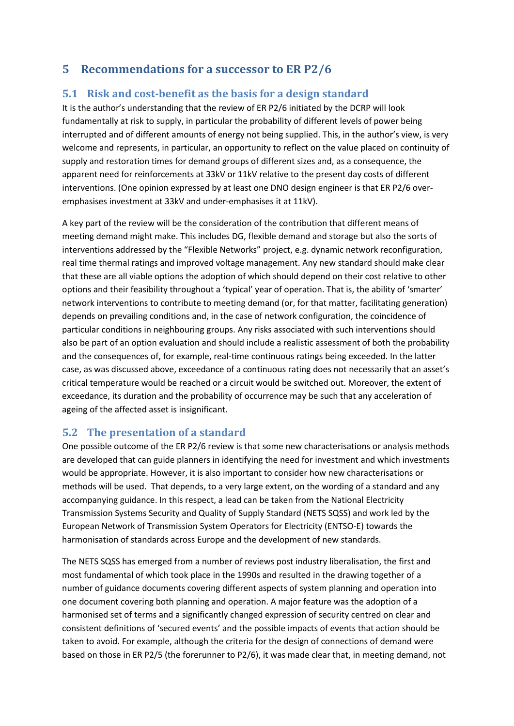## <span id="page-15-0"></span>**5 Recommendations for a successor to ER P2/6**

## <span id="page-15-1"></span>**5.1 Risk and cost-benefit as the basis for a design standard**

It is the author's understanding that the review of ER P2/6 initiated by the DCRP will look fundamentally at risk to supply, in particular the probability of different levels of power being interrupted and of different amounts of energy not being supplied. This, in the author's view, is very welcome and represents, in particular, an opportunity to reflect on the value placed on continuity of supply and restoration times for demand groups of different sizes and, as a consequence, the apparent need for reinforcements at 33kV or 11kV relative to the present day costs of different interventions. (One opinion expressed by at least one DNO design engineer is that ER P2/6 overemphasises investment at 33kV and under-emphasises it at 11kV).

A key part of the review will be the consideration of the contribution that different means of meeting demand might make. This includes DG, flexible demand and storage but also the sorts of interventions addressed by the "Flexible Networks" project, e.g. dynamic network reconfiguration, real time thermal ratings and improved voltage management. Any new standard should make clear that these are all viable options the adoption of which should depend on their cost relative to other options and their feasibility throughout a 'typical' year of operation. That is, the ability of 'smarter' network interventions to contribute to meeting demand (or, for that matter, facilitating generation) depends on prevailing conditions and, in the case of network configuration, the coincidence of particular conditions in neighbouring groups. Any risks associated with such interventions should also be part of an option evaluation and should include a realistic assessment of both the probability and the consequences of, for example, real-time continuous ratings being exceeded. In the latter case, as was discussed above, exceedance of a continuous rating does not necessarily that an asset's critical temperature would be reached or a circuit would be switched out. Moreover, the extent of exceedance, its duration and the probability of occurrence may be such that any acceleration of ageing of the affected asset is insignificant.

### <span id="page-15-2"></span>**5.2 The presentation of a standard**

One possible outcome of the ER P2/6 review is that some new characterisations or analysis methods are developed that can guide planners in identifying the need for investment and which investments would be appropriate. However, it is also important to consider how new characterisations or methods will be used. That depends, to a very large extent, on the wording of a standard and any accompanying guidance. In this respect, a lead can be taken from the National Electricity Transmission Systems Security and Quality of Supply Standard (NETS SQSS) and work led by the European Network of Transmission System Operators for Electricity (ENTSO-E) towards the harmonisation of standards across Europe and the development of new standards.

The NETS SQSS has emerged from a number of reviews post industry liberalisation, the first and most fundamental of which took place in the 1990s and resulted in the drawing together of a number of guidance documents covering different aspects of system planning and operation into one document covering both planning and operation. A major feature was the adoption of a harmonised set of terms and a significantly changed expression of security centred on clear and consistent definitions of 'secured events' and the possible impacts of events that action should be taken to avoid. For example, although the criteria for the design of connections of demand were based on those in ER P2/5 (the forerunner to P2/6), it was made clear that, in meeting demand, not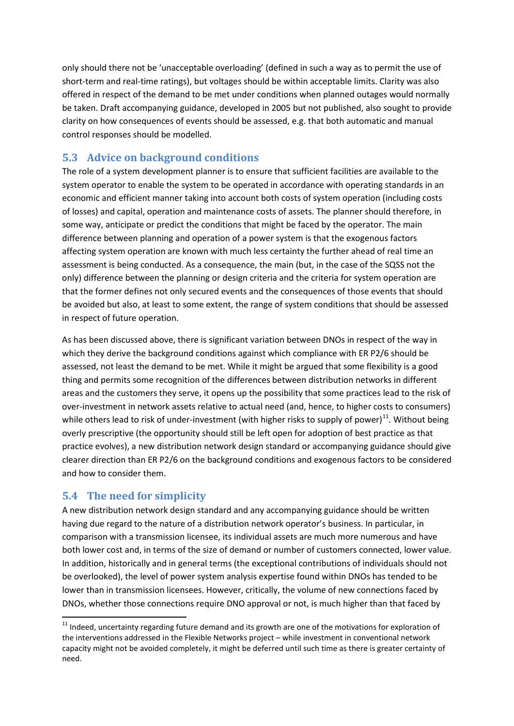only should there not be 'unacceptable overloading' (defined in such a way as to permit the use of short-term and real-time ratings), but voltages should be within acceptable limits. Clarity was also offered in respect of the demand to be met under conditions when planned outages would normally be taken. Draft accompanying guidance, developed in 2005 but not published, also sought to provide clarity on how consequences of events should be assessed, e.g. that both automatic and manual control responses should be modelled.

## <span id="page-16-0"></span>**5.3 Advice on background conditions**

The role of a system development planner is to ensure that sufficient facilities are available to the system operator to enable the system to be operated in accordance with operating standards in an economic and efficient manner taking into account both costs of system operation (including costs of losses) and capital, operation and maintenance costs of assets. The planner should therefore, in some way, anticipate or predict the conditions that might be faced by the operator. The main difference between planning and operation of a power system is that the exogenous factors affecting system operation are known with much less certainty the further ahead of real time an assessment is being conducted. As a consequence, the main (but, in the case of the SQSS not the only) difference between the planning or design criteria and the criteria for system operation are that the former defines not only secured events and the consequences of those events that should be avoided but also, at least to some extent, the range of system conditions that should be assessed in respect of future operation.

As has been discussed above, there is significant variation between DNOs in respect of the way in which they derive the background conditions against which compliance with ER P2/6 should be assessed, not least the demand to be met. While it might be argued that some flexibility is a good thing and permits some recognition of the differences between distribution networks in different areas and the customers they serve, it opens up the possibility that some practices lead to the risk of over-investment in network assets relative to actual need (and, hence, to higher costs to consumers) while others lead to risk of under-investment (with higher risks to supply of power)<sup>[11](#page-16-2)</sup>. Without being overly prescriptive (the opportunity should still be left open for adoption of best practice as that practice evolves), a new distribution network design standard or accompanying guidance should give clearer direction than ER P2/6 on the background conditions and exogenous factors to be considered and how to consider them.

## <span id="page-16-1"></span>**5.4 The need for simplicity**

**.** 

A new distribution network design standard and any accompanying guidance should be written having due regard to the nature of a distribution network operator's business. In particular, in comparison with a transmission licensee, its individual assets are much more numerous and have both lower cost and, in terms of the size of demand or number of customers connected, lower value. In addition, historically and in general terms (the exceptional contributions of individuals should not be overlooked), the level of power system analysis expertise found within DNOs has tended to be lower than in transmission licensees. However, critically, the volume of new connections faced by DNOs, whether those connections require DNO approval or not, is much higher than that faced by

<span id="page-16-2"></span> $11$  Indeed, uncertainty regarding future demand and its growth are one of the motivations for exploration of the interventions addressed in the Flexible Networks project – while investment in conventional network capacity might not be avoided completely, it might be deferred until such time as there is greater certainty of need.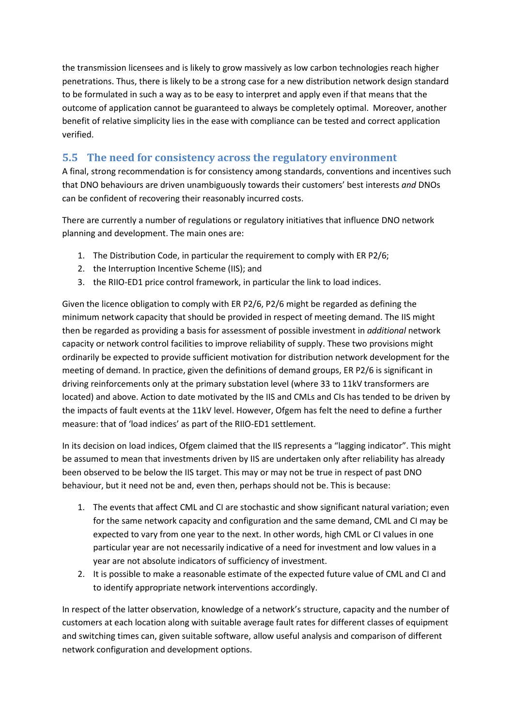the transmission licensees and is likely to grow massively as low carbon technologies reach higher penetrations. Thus, there is likely to be a strong case for a new distribution network design standard to be formulated in such a way as to be easy to interpret and apply even if that means that the outcome of application cannot be guaranteed to always be completely optimal. Moreover, another benefit of relative simplicity lies in the ease with compliance can be tested and correct application verified.

## <span id="page-17-0"></span>**5.5 The need for consistency across the regulatory environment**

A final, strong recommendation is for consistency among standards, conventions and incentives such that DNO behaviours are driven unambiguously towards their customers' best interests *and* DNOs can be confident of recovering their reasonably incurred costs.

There are currently a number of regulations or regulatory initiatives that influence DNO network planning and development. The main ones are:

- 1. The Distribution Code, in particular the requirement to comply with ER P2/6;
- 2. the Interruption Incentive Scheme (IIS); and
- 3. the RIIO-ED1 price control framework, in particular the link to load indices.

Given the licence obligation to comply with ER P2/6, P2/6 might be regarded as defining the minimum network capacity that should be provided in respect of meeting demand. The IIS might then be regarded as providing a basis for assessment of possible investment in *additional* network capacity or network control facilities to improve reliability of supply. These two provisions might ordinarily be expected to provide sufficient motivation for distribution network development for the meeting of demand. In practice, given the definitions of demand groups, ER P2/6 is significant in driving reinforcements only at the primary substation level (where 33 to 11kV transformers are located) and above. Action to date motivated by the IIS and CMLs and CIs has tended to be driven by the impacts of fault events at the 11kV level. However, Ofgem has felt the need to define a further measure: that of 'load indices' as part of the RIIO-ED1 settlement.

In its decision on load indices, Ofgem claimed that the IIS represents a "lagging indicator". This might be assumed to mean that investments driven by IIS are undertaken only after reliability has already been observed to be below the IIS target. This may or may not be true in respect of past DNO behaviour, but it need not be and, even then, perhaps should not be. This is because:

- 1. The events that affect CML and CI are stochastic and show significant natural variation; even for the same network capacity and configuration and the same demand, CML and CI may be expected to vary from one year to the next. In other words, high CML or CI values in one particular year are not necessarily indicative of a need for investment and low values in a year are not absolute indicators of sufficiency of investment.
- 2. It is possible to make a reasonable estimate of the expected future value of CML and CI and to identify appropriate network interventions accordingly.

In respect of the latter observation, knowledge of a network's structure, capacity and the number of customers at each location along with suitable average fault rates for different classes of equipment and switching times can, given suitable software, allow useful analysis and comparison of different network configuration and development options.